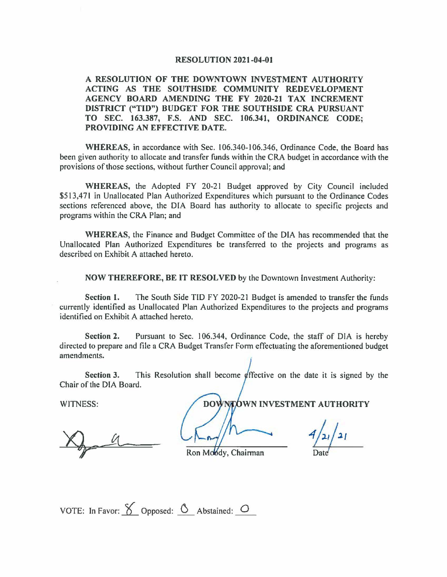#### **RESOLUTION 2021-04-01**

#### **A RESOLUTION OF THE DOWNTOWN INVESTMENT AUTHORITY ACTING AS THE SOUTHSIDE COMMUNITY REDEVELOPMENT AGENCY BOARD AMENDING THE FY 2020-21 TAX INCREMENT DISTRICT ("TIO") BUDGET FOR THE SOUTHSIDE CRA PURSUANT TO SEC. 163.387, F.S. AND SEC. 106.341, ORDINANCE CODE; PROVIDING AN EFFECTIVE DATE.**

**WHEREAS,** in accordance with Sec. I 06.340-106.346, Ordinance Code, the Board has been given authority to allocate and transfer funds within the CRA budget in accordance with the provisions of those sections, without further Council approval; and

**WHEREAS,** the Adopted FY 20-21 Budget approved by City Council included \$513,471 in Unallocated Plan Authorized Expenditures which pursuant to the Ordinance Codes sections referenced above, the DIA Board has authority to allocate to specific projects and programs within the CRA Plan; and

**WHEREAS,** the Finance and Budget Committee of the DIA has recommended that the Unallocated Plan Authorized Expenditures be transferred to the projects and programs as described on Exhibit A attached hereto.

**NOW THEREFORE, BE IT RESOLVED** by the Downtown Investment Authority:

**Section 1.** The South Side TID FY 2020-21 Budget is amended to transfer the funds currently identified as Unallocated Plan Authorized Expenditures to the projects and programs identified on Exhibit A attached hereto.

**Section 2.** Pursuant to Sec. 106.344, Ordinance Code, the staff of DIA is hereby directed to prepare and file a CRA Budget Transfer Form effectuating the aforementioned budget amendments.

**Section 3.** This Resolution shall become *effective* on the date it is signed by the Chair of the DIA Board.

WITNESS: **WHEN WE** DOWNEOWN INVESTMENT AUTHORITY

Ron Moody, Chairman

 $4/2/21$  $\frac{f}{\text{Date}}$ 

VOTE: In Favor:  $\bigotimes$  Opposed:  $\bigcirc$  Abstained:  $\bigcirc$